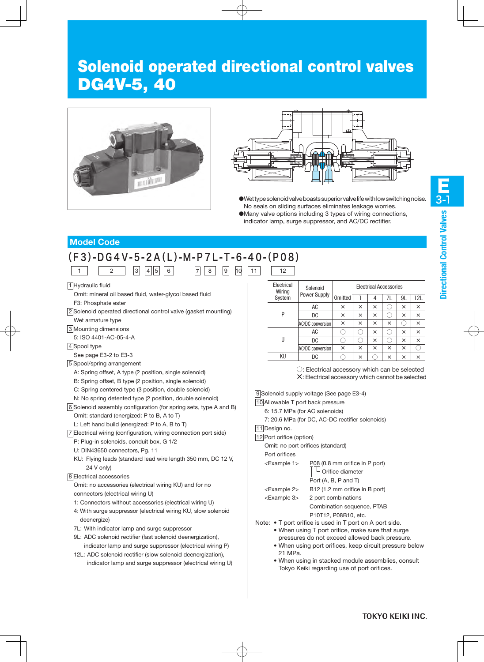## Solenoid operated directional control valves DG4V-5, 40





- $\bullet$  Wet type solenoid valve boasts superior valve life with low switching noise. No seals on sliding surfaces eliminates leakage worries.
- ●Many valve options including 3 types of wiring connections, indicator lamp, surge suppressor, and AC/DC rectifier.

## **Model Code**

#### (F3)-DG4V-5-2A(L)-M-P7L-T-6-40-(P08)  $1 \t 2 \t 3 \t 4 \t 5 \t 6$  $7 \ 8 \ 9 \ 10 \ 11 \ 12$

1 Hydraulic fluid

Omit: mineral oil based fluid, water-glycol based fluid F3: Phosphate ester

2 Solenoid operated directional control valve (gasket mounting) Wet armature type

3 Mounting dimensions

5: ISO 4401-AC-05-4-A

4 Spool type

See page E3-2 to E3-3

5 Spool/spring arrangement

A: Spring offset, A type (2 position, single solenoid)

- B: Spring offset, B type (2 position, single solenoid)
- C: Spring centered type (3 position, double solenoid)
- N: No spring detented type (2 position, double solenoid)

6 Solenoid assembly configuration (for spring sets, type A and B) Omit: standard (energized: P to B, A to T)

L: Left hand build (energized: P to A, B to T)

7 Electrical wiring (configuration, wiring connection port side)

- P: Plug-in solenoids, conduit box, G 1/2
- U: DIN43650 connectors, Pg. 11
- KU: Flying leads (standard lead wire length 350 mm, DC 12 V, 24 V only)

#### 8 Electrical accessories

Omit: no accessories (electrical wiring KU) and for no connectors (electrical wiring U)

1: Connectors without accessories (electrical wiring U)

- 4: With surge suppressor (electrical wiring KU, slow solenoid deenergize)
- 7L: With indicator lamp and surge suppressor
- 9L: ADC solenoid rectifier (fast solenoid deenergization), indicator lamp and surge suppressor (electrical wiring P)
- 12L: ADC solenoid rectifier (slow solenoid deenergization), indicator lamp and surge suppressor (electrical wiring U)

| Electrical<br>Wiring | Solenoid                |         |   |   | <b>Electrical Accessories</b> |          |          |
|----------------------|-------------------------|---------|---|---|-------------------------------|----------|----------|
| System               | Power Supply            | Omitted |   | 4 | 7L                            | 9L       | 12L      |
|                      | AC                      | ×       | × | × |                               | ×        | ×        |
| P                    | DC                      | ×       | × | × |                               | ×        | $\times$ |
|                      | <b>AC/DC conversion</b> | ×       | × | × | ×                             |          | $\times$ |
|                      | AC                      |         |   | × |                               | $\times$ | $\times$ |
| Ш                    | DC                      |         |   | × |                               | $\times$ | $\times$ |
|                      | AC/DC conversion        | ×       | × | × | ×                             | $\times$ |          |
| ΚU                   | DC                      |         | × |   | ×                             | ×        | ×        |

○: Electrical accessory which can be selected ×: Electrical accessory which cannot be selected

9 Solenoid supply voltage (See page E3-4)

10 Allowable T port back pressure

6: 15.7 MPa (for AC solenoids)

7: 20.6 MPa (for DC, AC-DC rectifier solenoids)

11 Design no.

12 Port orifice (option)

Omit: no port orifices (standard)

| Port orifices  |                                                                    |
|----------------|--------------------------------------------------------------------|
| $<$ Example 1> | P08 (0.8 mm orifice in P port)<br>$\vert$ $\vert$ Orifice diameter |
|                | Port (A, B, P and T)                                               |

<Example 2> B12 (1.2 mm orifice in B port)

<Example 3> 2 port combinations

Combination sequence, PTAB P10T12, P08B10, etc.

Note: • T port orifice is used in T port on A port side.

- When using T port orifice, make sure that surge pressures do not exceed allowed back pressure.
- When using port orifices, keep circuit pressure below 21 MPa.
- When using in stacked module assemblies, consult Tokyo Keiki regarding use of port orifices.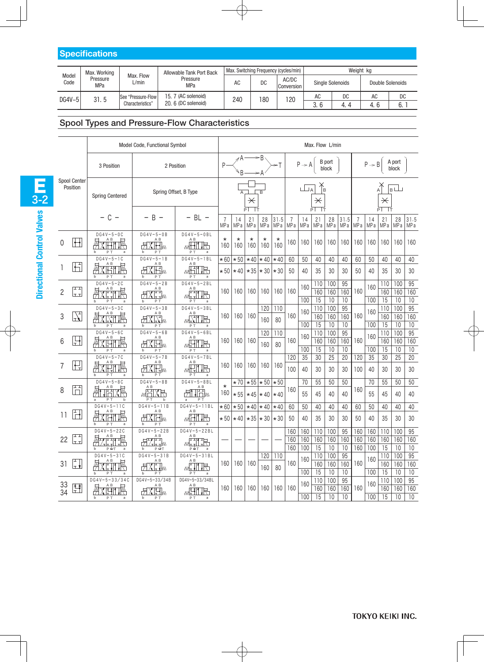|                                  | <b>Specifications</b> |                                        |                                            |     |     |                                       |                                             |           |           |          |  |  |  |  |
|----------------------------------|-----------------------|----------------------------------------|--------------------------------------------|-----|-----|---------------------------------------|---------------------------------------------|-----------|-----------|----------|--|--|--|--|
|                                  | Max. Working          |                                        | Allowable Tank Port Back                   |     |     | Max. Switching Frequency (cycles/min) |                                             | Weight kg |           |          |  |  |  |  |
| Model<br>Pressure<br>Code<br>MPa |                       | Max. Flow<br>L/min                     | Pressure<br>MPa                            | AC  | DC  | AC/DC<br>Conversion                   | <b>Single Solenoids</b><br>Double Solenoids |           |           |          |  |  |  |  |
| DG4V-5                           | 31.5                  | See "Pressure-Flow<br>Characteristics" | 15. 7 (AC solenoid)<br>20, 6 (DC solenoid) | 240 | 180 | 120                                   | AC<br>3.6                                   | DC<br>4.4 | AC<br>4.6 | DC<br>6. |  |  |  |  |
|                                  |                       |                                        |                                            |     |     |                                       |                                             |           |           |          |  |  |  |  |

## Spool Types and Pressure-Flow Characteristics

|                             |                                      | Model Code, Functional Symbol      |                                                 | Max. Flow L/min |                                                    |                                             |                       |                |                                      |                       |            |                 |              |                                          |                   |            |                 |              |
|-----------------------------|--------------------------------------|------------------------------------|-------------------------------------------------|-----------------|----------------------------------------------------|---------------------------------------------|-----------------------|----------------|--------------------------------------|-----------------------|------------|-----------------|--------------|------------------------------------------|-------------------|------------|-----------------|--------------|
|                             | 3 Position                           | 2 Position                         |                                                 | P               | ⊿А<br>B                                            |                                             | $\mathsf{B}$<br>⇒A    | ⇒T             |                                      | $P \rightarrow A$     |            | B port<br>block |              |                                          | $P \rightarrow B$ |            | A port<br>block |              |
| Spool Center<br>Position    | <b>Spring Centered</b>               | Spring Offset, B Type              |                                                 |                 |                                                    | $\overline{\times}$<br>PT                   | B                     |                | $\,{}^{\displaystyle\star}$<br>PI TT |                       |            |                 |              | $B \Box$<br>$\overline{\varkappa}$<br>可下 |                   |            |                 |              |
|                             | $-$ C $-$                            | B                                  | $- BL -$                                        | 7<br>MP a       | 14<br>MP a                                         | 21<br>MP a                                  | 28<br>MP a            | 31.5<br>MP a   | $\overline{7}$<br>MP a               | 14<br>MP <sub>a</sub> | 21<br>MP a | 28<br>MP a      | 31.5<br>MP a | 7<br>MP a                                | 14<br>MP a        | 21<br>MP a | 28<br>MP a      | 31.5<br>MP a |
| $\mathbb{H}$<br>0           | $DG4V-5-0C$<br>A <sub>B</sub><br>P T | $DG4V-5-0B$<br>A B<br>\I††M<br>P T | $DG4V-5-0BL$<br>A <sub>B</sub><br>尺<br>P T<br>a | $\star$<br>160  | $\star$<br>160                                     | $\star$<br>160                              | $\star$<br>160        | $\star$<br>160 | 160                                  | 160                   | 160        | 160             | 160          | 160                                      | 160               | 160        | 160             | 160          |
| $\overline{\mathbb{H}}$     | $DG4V-5-1C$<br>A <sub>B</sub><br>禊   | $DG4V-5-1B$<br>A B<br>XĤm          | $DG4V-5-1BL$<br>A B<br>尺                        | $*60$           | $\ast$ 50                                          | $*40$                                       | $\star$ 40            | $*40$          | 60                                   | 50                    | 40         | 40              | 40           | 60                                       | 50                | 40         | 40              | 40           |
|                             | PT<br>a<br>$DG4V-5-2C$               | PT<br>$DG4V-5-2B$                  | w⊡⊺<br>PT<br>a<br>$DG4V-5-2BL$                  |                 | $*50 *40 $                                         | $*35$                                       | $\star$ 30 $\star$ 30 |                | 50                                   | 40                    | 35<br>110  | 30<br>100       | 30<br>95     | 50                                       | 40                | 35<br>110  | 30<br>100       | 30<br>95     |
| ᄑ<br>$\overline{c}$<br>lt t | A <sub>B</sub>                       | A B                                | A <sub>B</sub><br>ℝ<br>Wli i I                  | 160             | 160                                                | 160                                         | 160                   | 160            | 160                                  | 160                   | 160        | 160             | 160          | 160                                      | 160               | 160        | 160             | 160          |
|                             | P T<br>b<br>$DG4V-5-3C$              | PT<br>b<br>$DG4V-5-3B$             | PT<br>$DG4V-5-3BL$                              |                 |                                                    |                                             | 120                   | 110            |                                      | 100                   | 15<br>110  | 10<br>100       | 10<br>95     |                                          | 100               | 15<br>110  | 10<br>100       | 10<br>95     |
| $\frac{1}{\sqrt{1}}$<br>3   | A. I. K                              | A B<br>XEM                         | A B<br>WENT R                                   | 160             | 160                                                | 160                                         | 160                   | 80             | 160                                  | 160                   | 160        | 160             | 160          | 160                                      | 160               | 160        | 160             | 160          |
|                             | P T<br>a<br>$DG4V-5-6C$              | PT<br>$DG4V - 5 - 6B$              | P T<br>a<br>$DG4V-5-6BL$                        |                 |                                                    |                                             | 120                   | 110            |                                      | 100                   | 15<br>110  | 10<br>100       | 10<br>95     |                                          | 100               | 15<br>110  | 10<br>100       | 10<br>95     |
| H<br>6                      | A B<br>P T<br>a                      | A B<br>K ⊟ m<br>PT                 | A B<br>wh<br>下<br>P T<br>a                      | 160             | 160                                                | 160                                         | 160                   | 80             | 160                                  | 160<br>100            | 160<br>15  | 160<br>10       | 160<br>10    | 160                                      | 160<br>100        | 160<br>15  | 160<br>10       | 160<br>10    |
|                             | $\overline{DG4V-5-7C}$               | $DG4V-5-7B$                        | $DG4V-5-7BL$                                    |                 |                                                    |                                             |                       |                | 120                                  | 35                    | 30         | 25              | 20           | 120                                      | 35                | 30         | 25              | 20           |
| $\pm$<br>7                  | A B<br>阙<br>IH'l<br>PT               | A B<br>XIEm<br>PT                  | A B<br>wH'<br>下<br>PT                           | 160             | 160                                                | 160                                         | 160                   | 160            | 100                                  | 40                    | 30         | 30              | 30           | 100                                      | 40                | 30         | 30              | 30           |
| ᄄ                           | $DG4V-5-8C$                          | $DG4V-5-8B$<br>A B                 | $DG4V-5-8BL$<br>A B                             | $\star$         | $*70$                                              |                                             | $*55$ $*50$           | $*50$          |                                      | 70                    | 55         | 50              | 50           |                                          | 70                | 55         | 50              | 50           |
| 8<br>Īñ                     | PT<br>h                              | <b>MHXR</b><br>P T<br>b            | ᄑᆩ<br>$\mathbf{v}$ m<br>PT<br>a                 | 160             |                                                    | $\star 55$ $\star 45$ $\star 40$ $\star 40$ |                       |                | 160                                  | 55                    | 45         | 40              | 40           | 160                                      | 55                | 45         | 40              | 40           |
|                             | $DG4V-5-11C$                         | $DG4V-5-11B$<br>A B                | $DG4V-5-11BL$<br>A B                            | $*60$           | $*50$                                              | $*40$                                       | $*40$                 | $*40$          | 60                                   | 50                    | 40         | 40              | 40           | 60                                       | 50                | 40         | 40              | 40           |
| 11<br>ĪĦ                    | 戒<br>XĤT<br>PT<br>a                  | <b>FXHw</b><br>P T                 | HL 1H-IM<br>P T                                 |                 | $\star 50 \times 40 \times 35 \times 30 \times 30$ |                                             |                       |                | 50                                   | 40                    | 35         | 30              | 30           | 50                                       | 40                | 35         | 30              | 30           |
|                             | $DG4V - 5 - 22C$<br>A B              | $DG4V - 5 - 22B$<br>A B            | $DG4V - 5 - 22BL$<br>A B                        |                 |                                                    |                                             |                       |                | 160                                  | 160                   | 110        | 100             | 95           | 160                                      | 160               | 110        | 100             | 95           |
| H<br>22                     |                                      | <u>ılı i</u> .W                    | 吊<br>Wurll                                      |                 |                                                    |                                             |                       |                | 160<br>160                           | 160                   | 160<br>15  | 160             | 160          | 160                                      | 160<br>100        | 160<br>15  | 160             | 160          |
|                             | $P \oplus T$<br>a<br>$DG4V-5-3IC$    | $P \oplus T$<br>b<br>$DG4V-5-31B$  | $P \oplus T$<br>a<br>$DG4V-5-3IBL$              |                 |                                                    |                                             | 120                   | 110            |                                      | 100                   | 110        | 10<br>100       | 10<br>95     | 160                                      |                   | 110        | 10<br>100       | 10<br>95     |
| 31<br>┟╻╽                   | 俩                                    | A B<br><u>FIXE I</u> m             | A <sub>B</sub>                                  | 160             | 160                                                | 160                                         |                       |                | 160                                  | 160                   | 160        | 160             | 160          | 160                                      | 160               | 160        | 160             | 160          |
|                             | $\mathbf b$<br>a                     | P T<br>b                           | 下<br>W⊡ ∐<br>PT                                 |                 |                                                    |                                             | 160                   | 80             |                                      | 100                   | 15         | 10              | 10           |                                          | 100               | 15         | 10              | 10           |
|                             | $DG4V - 5 - 33/34C$<br>A B           | DG4V-5-33/34B                      | DG4V-5-33/34BL                                  |                 |                                                    |                                             |                       |                |                                      | 160                   | 110        | 100             | 95           |                                          | 160               | 110        | 100             | 95           |
| $\frac{33}{34}$<br>四<br>工   |                                      | XPI <sub>m</sub>                   | A B<br>A B<br>160<br><b>WELL</b><br>下           | 160<br>160      | 160                                                | 160                                         | 160                   |                | 160                                  | 160                   | 160        | 160             |              | 160                                      | 160               | 160        |                 |              |
|                             | PT<br>h<br>a                         | PT<br>b                            | P T<br>a                                        |                 |                                                    |                                             |                       |                |                                      | 100                   | 15         | 10              | 10           |                                          | 100               | 15         | 10              | 10           |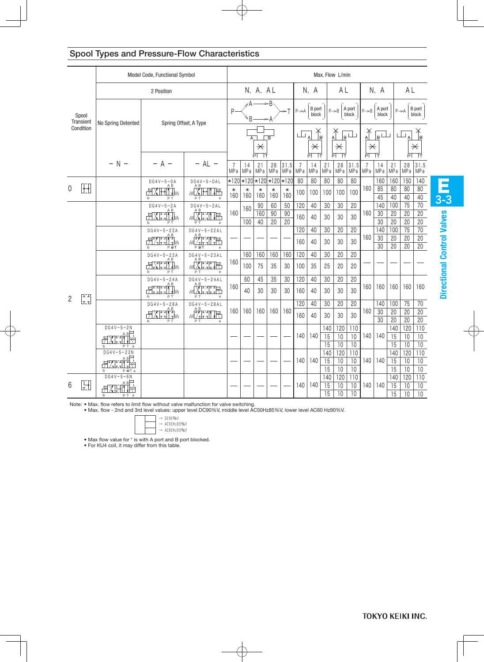## Spool Types and Pressure-Flow Characteristics

|                |                    | Model Code, Functional Symbol |                                                                           |                                                                                                                         |                                   | Max. Flow L/min        |                                                   |                 |                       |                      |                                               |                       |                   |                 |                                                                 |                 |                       |                                         |                       |
|----------------|--------------------|-------------------------------|---------------------------------------------------------------------------|-------------------------------------------------------------------------------------------------------------------------|-----------------------------------|------------------------|---------------------------------------------------|-----------------|-----------------------|----------------------|-----------------------------------------------|-----------------------|-------------------|-----------------|-----------------------------------------------------------------|-----------------|-----------------------|-----------------------------------------|-----------------------|
|                |                    |                               | 2 Position                                                                |                                                                                                                         |                                   |                        | N, A, AL                                          |                 |                       |                      | N, A                                          |                       | A L               |                 |                                                                 | N, A            |                       | A L                                     |                       |
|                | Spool<br>Transient | No Spring Detented            | Spring Offset, A Type                                                     |                                                                                                                         | P                                 | ⊿ A –                  |                                                   | ⇒B              |                       | $P \rightarrow A$    | <b>B</b> port<br>block                        |                       | $P \rightarrow B$ | A port<br>block | $P \rightarrow B$                                               | A port<br>block |                       | $P \rightarrow A$                       | B port<br>block       |
|                | Condition          |                               |                                                                           |                                                                                                                         |                                   |                        | $\overline{B}$<br>$\overline{\times}$<br>ΡĪ<br>Тт |                 |                       |                      | ப<br>lв<br>$\overline{\varkappa}$<br>РT<br>Iт |                       |                   | $\mathbf{p}$    | $\mathsf{B}^{\mathsf{L}}$<br>$\overline{\varkappa}$<br>РĪ<br>TŦ |                 |                       | ப<br>$\overline{\varkappa}$<br>ΡĪ<br>TŦ |                       |
|                |                    | $- N -$                       | A                                                                         | $- AL -$                                                                                                                | $\overline{7}$<br>MP <sub>a</sub> | 14<br>MP a             | 21<br>MP a                                        | 28<br>MP a      | 31.5<br>MPa           | 7<br>MP <sub>a</sub> | 14<br>MPa                                     | 21<br>MP <sub>a</sub> | 28<br>MP a        | 31.5<br>MP a    | 7<br>MP a                                                       | 14<br>MP a      | 21<br>MP a            | 28<br>MP a                              | 31.5<br>MPa           |
|                |                    |                               | $DG4V-5-0A$<br>A B                                                        | $DG4V-5-OAL$                                                                                                            |                                   | $\star 120 \times 120$ | $\star$ 120 $\star$ 120 $\star$ 120               |                 |                       | 80                   | 80                                            | 80                    | 80                | 80              |                                                                 | 160             | 160                   | 150                                     | 140                   |
| 0              | $\mathbb H$        |                               | $\prod_{i=1}^n$<br>PT                                                     | AΒ<br>PT                                                                                                                | $^\star$<br>160                   | $^\star$<br>160        | $\star$<br>160                                    | $^\star$<br>160 | $\star$<br>160        | 100                  | 100                                           | 100                   | 100               | 100             | 160                                                             | 85<br>45        | 80<br>40              | 80<br>40                                | 80<br>40              |
|                |                    |                               | $DG4V-5-2A$                                                               | $DG4V-5-2AL$                                                                                                            |                                   | 160                    | 90                                                | 60              | 50                    | 120                  | 40                                            | 30                    | 30                | 20              |                                                                 | 140             | 100                   | 75                                      | 70                    |
|                |                    |                               | AΒ<br>$\frac{1}{2}$ . $\frac{1}{2}$ , $\frac{1}{2}$ , $\frac{1}{2}$<br>PT | <u>mÄLITR</u><br>PT<br>a                                                                                                | 160                               | 100                    | 160<br>40                                         | 90<br>20        | 90<br>$\overline{20}$ | 160                  | 40                                            | 30                    | 30                | 30              | 160                                                             | 30<br>30        | 20<br>$\overline{20}$ | 20<br>$\overline{20}$                   | 20<br>$\overline{20}$ |
|                |                    |                               | $DG4V - 5 - 22A$                                                          | $DG4V-5-22AL$                                                                                                           |                                   |                        |                                                   |                 |                       | 120                  | 40                                            | 30                    | 20                | 20              |                                                                 | 140             | 100                   | 75                                      | 70                    |
|                |                    |                               | ╌<br>╱╌╌╌╷╶<br>╱╌╌╷╷╌<br>$P \oplus T$                                     | A B<br>$P \oplus T$<br>a                                                                                                |                                   |                        |                                                   |                 |                       | 160                  | 40                                            | 30                    | 30                | 30              | 160                                                             | 30<br>30        | 20<br>20              | 20<br>20                                | 20<br>20              |
|                |                    |                               | $DG4V - 5 - 23A$                                                          | $DG4V - 5 - 23AL$<br>A <sub>B</sub>                                                                                     |                                   | 160                    | 160                                               | 160             | 160                   | 120                  | 40                                            | 30                    | 20                | 20              |                                                                 |                 |                       |                                         |                       |
|                |                    |                               | ΑB<br>FL TW<br>PT<br>$\mathbf{h}$                                         | XHHR<br>PT<br>a                                                                                                         | 160                               | 100                    | 75                                                | 35              | 30                    | 100                  | 35                                            | 25                    | 20                | 20              |                                                                 |                 |                       |                                         |                       |
|                |                    |                               | $DG4V - 5 - 24A$                                                          | $DG4V-5-24AL$                                                                                                           |                                   | 60                     | 45                                                | 35              | 30                    | 120                  | 40                                            | 30                    | 20                | 20              |                                                                 |                 |                       |                                         |                       |
| $\overline{2}$ | عتم                |                               | ΑB<br>±M<br>PT                                                            | rne<br>Elit<br>PT<br>a                                                                                                  | 160                               | 40                     | 30                                                | 30              | 30                    | 160                  | 40                                            | 30                    | 30                | 30              | 160                                                             | 160             | 160                   | 160                                     | 160                   |
|                | lı ı               |                               | $DG4V - 5 - 28A$                                                          | $DG4V-5-28AL$                                                                                                           |                                   |                        |                                                   |                 |                       | 120                  | 40                                            | 30                    | 20                | 20              |                                                                 | 140             | 100                   | 75                                      | 70                    |
|                |                    |                               | $X - \frac{AB}{2}$ .                                                      | $\begin{array}{c}\n\mathbf{A} & \mathbf{B} \\ \mathbf{A} & \mathbf{B} \\ \mathbf{A} & \mathbf{A}\n\end{array}$<br>WL/11 | 160                               | 160                    | 160                                               | 160             | 160                   | 160                  | 40                                            | 30                    | 30                | 30              | 160                                                             | 30              | 20                    | 20                                      | 20                    |
|                |                    | $DG4V-5-2N$                   | PT<br>b                                                                   | PT<br>a                                                                                                                 |                                   |                        |                                                   |                 |                       |                      |                                               |                       |                   |                 |                                                                 | 30              | 20                    | 20                                      | 20                    |
|                |                    | а в⊟                          |                                                                           |                                                                                                                         |                                   |                        |                                                   |                 |                       | 140                  | 140                                           | 140<br>15             | 120<br>10         | 110<br>10       | 140                                                             | 140             | 140<br>15             | 120<br>10                               | 110<br>10             |
|                |                    | PT<br>b<br>a                  |                                                                           |                                                                                                                         |                                   |                        |                                                   |                 |                       |                      |                                               | 15                    | 10                | 10              |                                                                 |                 | 15                    | 10                                      | $10$                  |
|                |                    | $DG4V - 5 - 22N$              |                                                                           |                                                                                                                         |                                   |                        |                                                   |                 |                       |                      |                                               | 140                   | 120               | 110             |                                                                 |                 | 140                   | 120                                     | 110                   |
|                |                    | АB                            |                                                                           |                                                                                                                         |                                   |                        |                                                   |                 |                       | 140                  | 140                                           | 15                    | 10                | 10              | 140                                                             | 140             | $\overline{15}$       | 10                                      | 10                    |
|                |                    | 45. U IX<br>b<br>РшТа         |                                                                           |                                                                                                                         |                                   |                        |                                                   |                 |                       |                      |                                               | 15                    | 10                | 10              |                                                                 |                 | 15                    | 10                                      | 10                    |
|                |                    | $DG4V-5-6N$                   |                                                                           |                                                                                                                         |                                   |                        |                                                   |                 |                       |                      |                                               | 140                   | 120               | 110             |                                                                 |                 | 140                   | 120                                     | 110                   |
| 6              | 閉                  |                               |                                                                           |                                                                                                                         |                                   |                        |                                                   |                 |                       | 140                  | 140                                           | 15                    | 10                | 10              | 140                                                             | 140             | 15                    | 10                                      | 10                    |
|                |                    | b<br>PT a                     |                                                                           |                                                                                                                         |                                   |                        |                                                   |                 |                       |                      |                                               | 15                    | 10                | 10              |                                                                 |                 | 15                    | 10                                      | 10                    |

Note: • Max, flow refers to limit flow without valve m Note: • Max. flow refers to limit flow without valve malfunction for valve switching.<br>• Max. flow - 2nd and 3rd level values: upper level DC90%V, middle level AC50Hz85%V,

• Max. flow - 2nd and 3rd level values: upper level DC90%V, middle level AC50Hz85%V, lower level AC60 Hz90%V.

 $\rightarrow$  DC90%V  $\rightarrow$  AC50Hz85%V  $\rightarrow$  AC60Hz90%V

• Max flow value for \* is with A port and B port blocked. • Max flow value for \* is with A port and B port blocked.<br>• For KU4 coil. it may differ from this table.

• For KU4 coil, it may differ from this table.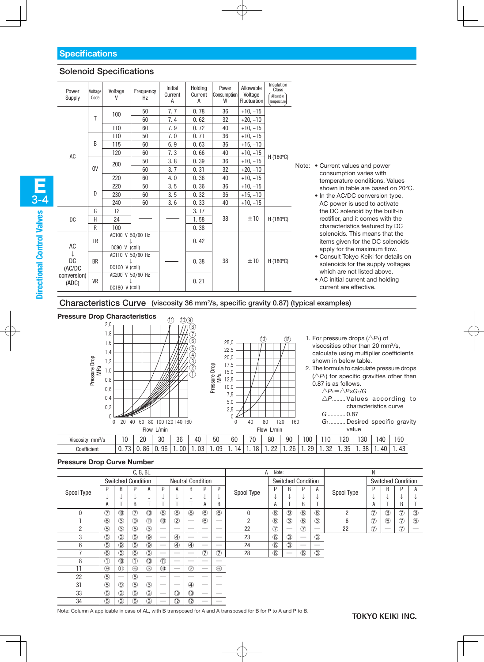## Solenoid Specifications

| Power<br>Supply      | Voltage<br>Code | Voltage<br>v                       | Frequency<br>Hz | Initial<br>Current<br>A | Holdina<br>Current<br>A | Power<br>Consumption<br>W | Allowable<br>Voltage<br><b>Fluctuation</b> | Insulation<br>Class<br>Allowable<br>Temperature |                                                                                                          |
|----------------------|-----------------|------------------------------------|-----------------|-------------------------|-------------------------|---------------------------|--------------------------------------------|-------------------------------------------------|----------------------------------------------------------------------------------------------------------|
|                      |                 | 100                                | 50              | 7.7                     | 0.78                    | 36                        | $+10, -15$                                 |                                                 |                                                                                                          |
|                      | T               |                                    | 60              | 7.4                     | 0.62                    | 32                        | $+20, -10$                                 |                                                 |                                                                                                          |
|                      |                 | 110                                | 60              | 7.9                     | 0.72                    | 40                        | $+10, -15$                                 |                                                 |                                                                                                          |
|                      |                 | 110                                | 50              | 7.0                     | 0.71                    | 36                        | $+10, -15$                                 |                                                 |                                                                                                          |
|                      | B               | 115                                | 60              | 6.9                     | 0.63                    | 36                        | $+15, -10$                                 |                                                 |                                                                                                          |
| AC                   |                 | 120                                | 60              | 7.3                     | 0.66                    | 40                        | $+10, -15$                                 | H (180°C)                                       |                                                                                                          |
|                      |                 | 200                                | 50              | 3.8                     | 0.39                    | 36                        | $+10, -15$                                 |                                                 | Note: • Current values and power                                                                         |
|                      | <b>OV</b>       |                                    | 60              | 3.7                     | 0.31                    | 32                        | $+20, -10$                                 |                                                 | consumption varies with                                                                                  |
|                      |                 | 220                                | 60              | 4.0                     | 0.36                    | 40                        | $+10, -15$                                 |                                                 | temperature conditions. Values                                                                           |
|                      |                 | 220                                | 50              | 3.5                     | 0.36                    | 36                        | $+10, -15$                                 |                                                 | shown in table are based on 20°C.                                                                        |
|                      | D               | 230                                | 60              | 3.5                     | 0.32                    | 36                        | $+15, -10$                                 |                                                 | • In the AC/DC conversion type,                                                                          |
|                      |                 | 240                                | 60              | 3.6                     | 0.33                    | 40                        | $+10, -15$                                 |                                                 | AC power is used to activate                                                                             |
|                      | G               | 12                                 |                 |                         | 3.17                    |                           |                                            |                                                 | the DC solenoid by the built-in                                                                          |
| DC                   | Η               | 24                                 |                 |                         | 1.58                    | 38                        | ±10                                        | H (180°C)                                       | rectifier, and it comes with the                                                                         |
|                      | R               | 100                                |                 |                         | 0.38                    |                           |                                            |                                                 | characteristics featured by DC                                                                           |
| <b>AC</b>            | <b>TR</b>       | AC100 V 50/60 Hz<br>DC90 V (coil)  |                 |                         | 0.42                    |                           |                                            |                                                 | solenoids. This means that the<br>items given for the DC solenoids<br>apply for the maximum flow.        |
| <b>DC</b><br>(AC/DC  | <b>BR</b>       | AC110 V 50/60 Hz<br>DC100 V (coil) |                 |                         | 0.38                    | 38                        | ±10                                        | H (180°C)                                       | · Consult Tokyo Keiki for details on<br>solenoids for the supply voltages<br>which are not listed above. |
| conversion)<br>(ADC) | <b>VR</b>       | AC200 V 50/60 Hz<br>DC180 V (coil) |                 |                         | 0.21                    |                           |                                            |                                                 | • AC initial current and holding<br>current are effective.                                               |

Characteristics Curve (viscosity 36 mm2/s, specific gravity 0.87) (typical examples)



#### **Pressure Drop Curve Number**

|            |             |                | C, B, BL                  |                |                          |                          |                          |                          |                | A          | Note:         |                                |                                 |               |            | Ν              |                           |                |               |  |  |
|------------|-------------|----------------|---------------------------|----------------|--------------------------|--------------------------|--------------------------|--------------------------|----------------|------------|---------------|--------------------------------|---------------------------------|---------------|------------|----------------|---------------------------|----------------|---------------|--|--|
|            |             |                | <b>Switched Condition</b> |                |                          |                          | <b>Neutral Condition</b> |                          |                |            |               |                                | <b>Switched Condition</b>       |               |            |                | <b>Switched Condition</b> |                |               |  |  |
| Spool Type | P           | B              | D                         | A              | P                        | A                        | B                        | D                        | P              | Spool Type | D             | B                              | P                               | A             | Spool Type | D              | B                         | D              | A             |  |  |
|            | ◡           | ◡              |                           | ◡              |                          |                          | ◡                        | ↓                        | ◡              |            | J             |                                | ↓                               |               |            | ◡              | J                         | ◡              |               |  |  |
|            | A           |                | B                         |                |                          |                          |                          | A                        | B              |            | A             |                                | B                               |               |            | А              |                           | B              |               |  |  |
|            | $\circled7$ | $\circledR$    | $\circled7$               | $^{\circledR}$ | $\circledS$              | $\circledS$              | $\circledR$              | $\circled6$              | $\circled6$    | $\Omega$   | $\circled6$   | $\circledcirc$                 | $\circled6$                     | $6$           | 2          | $\circled7$    | $\circled{3}$             | $\circled7$    | $\circled{3}$ |  |  |
|            | $\circled6$ | $\circled{3}$  | $\circledcirc$            | $\circled{1}$  | $\circledR$              | $^{\circledR}$           |                          | $\circled6$              | -              | 2          | $\circled6$   | $\circled{3}$                  | $\circled6$                     | $\circled{3}$ | 6          | $\circledcirc$ | $\circledS$               | $\circledcirc$ | $\circledS$   |  |  |
| $\Omega$   | $\circledS$ | $\circled{3}$  | $\circledS$               | $\circled{3}$  |                          |                          |                          |                          |                | 22         | $\circled7$   | $\overline{\phantom{a}}$       | $\circled7$                     |               | 22         | $\circled7$    | -                         | $\circledcirc$ |               |  |  |
| 3          | $\circledS$ | $\circled{3}$  | $\circledS$               | $\circledS$    |                          | $\circled{4}$            |                          | $\overline{\phantom{a}}$ | _              | 23         | $\circled{6}$ | $\circled{3}$                  | $\hspace{0.1mm}-\hspace{0.1mm}$ | $\circled{3}$ |            |                |                           |                |               |  |  |
| 6          | $\circledS$ | $\circled{9}$  | $\circledS$               | $\circled{9}$  | -                        | $\circled{4}$            | $\circled{4}$            |                          | _              | 24         | $\circled6$   | $\circled{3}$                  |                                 | _             |            |                |                           |                |               |  |  |
|            | $\circled6$ | $\circled{3}$  | $\circled6$               | $\circled{3}$  |                          | $\overline{\phantom{a}}$ |                          | ⑦                        | $\circledcirc$ | 28         | $\circled6$   | $\overbrace{\hspace{25mm}}^{}$ | $\circled6$                     | $\circled{3}$ |            |                |                           |                |               |  |  |
| 8          | $\bigcap$   | (1)            | $\mathcal{D}$             | $\circledR$    | $\mathcal{F}$            |                          | _                        | _                        |                |            |               |                                |                                 |               |            |                |                           |                |               |  |  |
| 11         | $\circledS$ | (1)            | $\circled6$               | $\circled{3}$  | $\circledR$              |                          | $\circled{2}$            |                          | $\circledast$  |            |               |                                |                                 |               |            |                |                           |                |               |  |  |
| 22         | $\circledS$ |                | $\circledS$               | _              |                          |                          |                          | --                       |                |            |               |                                |                                 |               |            |                |                           |                |               |  |  |
| 31         | $\circledS$ | $\circledcirc$ | $\circledS$               | $\circled{3}$  |                          | _                        | $\circled{4}$            |                          |                |            |               |                                |                                 |               |            |                |                           |                |               |  |  |
| 33         | $\circledS$ | $\circled{3}$  | $\circledS$               | $\circled{3}$  |                          | $\circled{3}$            | $\circled{3}$            |                          | __             |            |               |                                |                                 |               |            |                |                           |                |               |  |  |
| 34         | (5)         | (3)            | $\circledS$               | (3)            | $\overline{\phantom{a}}$ | $\circled{2}$            | $\circled{2}$            |                          |                |            |               |                                |                                 |               |            |                |                           |                |               |  |  |

Note: Column A applicable in case of AL, with B transposed for A and A transposed for B for P to A and P to B.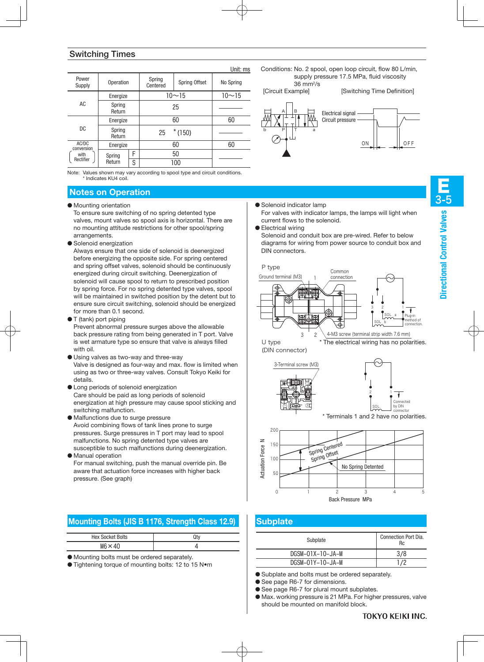## Switching Times

|                     |                  |   |                    |                      | Unit: ms  |  |  |  |  |
|---------------------|------------------|---|--------------------|----------------------|-----------|--|--|--|--|
| Power<br>Supply     | Operation        |   | Spring<br>Centered | <b>Spring Offset</b> | No Spring |  |  |  |  |
|                     | Energize         |   |                    | $10 - 15$            | $10 - 15$ |  |  |  |  |
| AC                  | Spring<br>Return |   |                    | 25                   |           |  |  |  |  |
|                     | Energize         |   |                    | 60                   |           |  |  |  |  |
| DC.                 | Spring<br>Return |   | 25                 | $*$ (150)            |           |  |  |  |  |
| AC/DC<br>conversion | Energize         |   |                    | 60                   | 60        |  |  |  |  |
| with                | Spring           | F |                    | 50                   |           |  |  |  |  |
| Rectifier           | Return           | S | 100                |                      |           |  |  |  |  |

Note: Values shown may vary according to spool type and circuit conditions. \* Indicates KU4 coil.

## **Notes on Operation**

- Mounting orientation
	- To ensure sure switching of no spring detented type valves, mount valves so spool axis is horizontal. There are no mounting attitude restrictions for other spool/spring arrangements.
- Solenoid energization

Always ensure that one side of solenoid is deenergized before energizing the opposite side. For spring centered and spring offset valves, solenoid should be continuously energized during circuit switching. Deenergization of solenoid will cause spool to return to prescribed position by spring force. For no spring detented type valves, spool will be maintained in switched position by the detent but to ensure sure circuit switching, solenoid should be energized for more than 0.1 second.

● T (tank) port piping

Prevent abnormal pressure surges above the allowable back pressure rating from being generated in T port. Valve is wet armature type so ensure that valve is always filled with oil.

- Using valves as two-way and three-way Valve is designed as four-way and max. flow is limited when using as two or three-way valves. Consult Tokyo Keiki for details.
- Long periods of solenoid energization Care should be paid as long periods of solenoid energization at high pressure may cause spool sticking and switching malfunction.
- Malfunctions due to surge pressure Avoid combining flows of tank lines prone to surge pressures. Surge pressures in T port may lead to spool malfunctions. No spring detented type valves are susceptible to such malfunctions during deenergization.
- Manual operation For manual switching, push the manual override pin. Be aware that actuation force increases with higher back pressure. (See graph)

## **Mounting Bolts (JIS B 1176, Strength Class 12.9)**

| <b>Hex Socket Bolts</b> |  |
|-------------------------|--|
| $M6 \times 40$          |  |

● Mounting bolts must be ordered separately.

● Tightening torque of mounting bolts: 12 to 15 N•m

Conditions: No. 2 spool, open loop circuit, flow 80 L/min, supply pressure 17.5 MPa, fluid viscosity 36 mm2/s

[Circuit Example] [Switching Time Definition]



● Solenoid indicator lamp

For valves with indicator lamps, the lamps will light when current flows to the solenoid.

● Electrical wiring

Solenoid and conduit box are pre-wired. Refer to below diagrams for wiring from power source to conduit box and DIN connectors.









## **Subplate**

| Hex Socket Bolts                      | Qtv                                         | Subplate         | Connection Port Dia. |
|---------------------------------------|---------------------------------------------|------------------|----------------------|
| $M6 \times 40$                        |                                             |                  | Rc                   |
| ing bolts must be ordered separately. |                                             | DGSM-01X-10-JA-M | 3/8                  |
|                                       | ning torque of mounting bolts: 12 to 15 N•m | DGSM-01Y-10-JA-M |                      |
|                                       |                                             |                  |                      |

- Subplate and bolts must be ordered separately.
- See page R6-7 for dimensions.
- See page R6-7 for plural mount subplates.
- Max. working pressure is 21 MPa. For higher pressures, valve should be mounted on manifold block.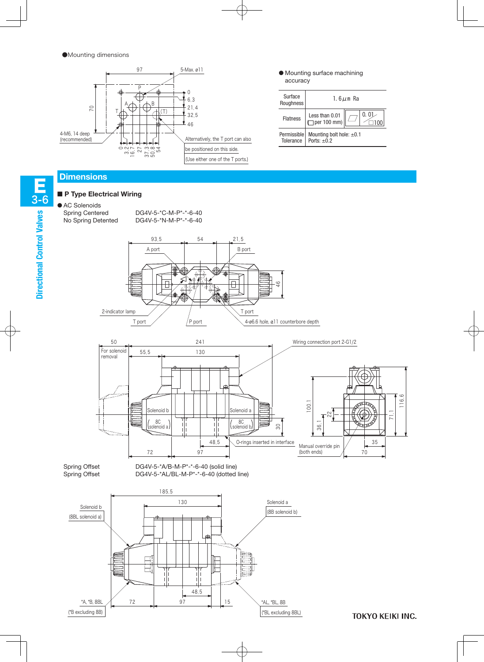●Mounting dimensions



#### ■ **P Type Electrical Wiring**

# ● AC Solenoids











● Mounting surface machining accuracy



**TOKYO KEIKI INC.**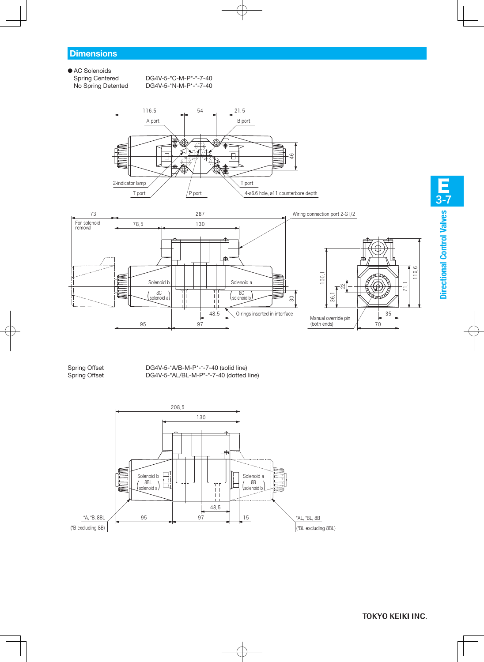● AC Solenoids<br>Spring Centered

Spring Centered DG4V-5-\*C-M-P\*-\*-7-40<br>No Spring Detented DG4V-5-\*N-M-P\*-\*-7-40 DG4V-5-\*N-M-P\*-\*-7-40





Spring Offset DG4V-5-\*A/B-M-P\*-\*-7-40 (solid line)<br>Spring Offset DG4V-5-\*AL/BL-M-P\*-\*-7-40 (dotted DG4V-5-\*AL/BL-M-P\*-\*-7-40 (dotted line)

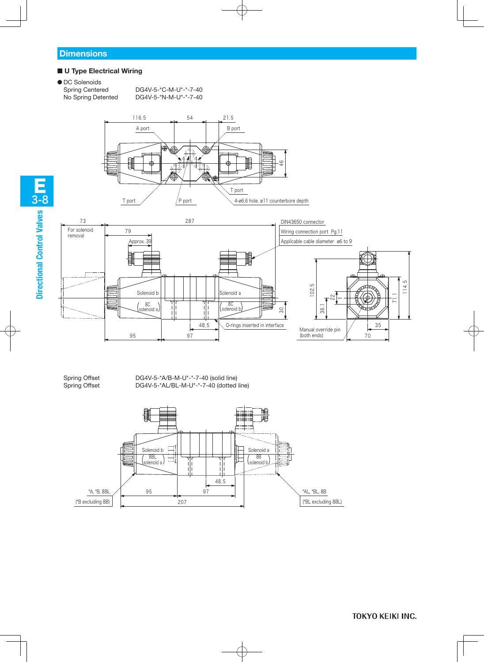#### ■ **U Type Electrical Wiring**

```
● DC Solenoids
```
Spring Centered DG4V-5-\*C-M-U\*-\*-7-40 No Spring Detented DG4V-5-\*N-M-U\*-\*-7-40







Spring Offset DG4V-5-\*A/B-M-U\*-\*-7-40 (solid line) Spring Offset DG4V-5-\*AL/BL-M-U\*-\*-7-40 (dotted line)



E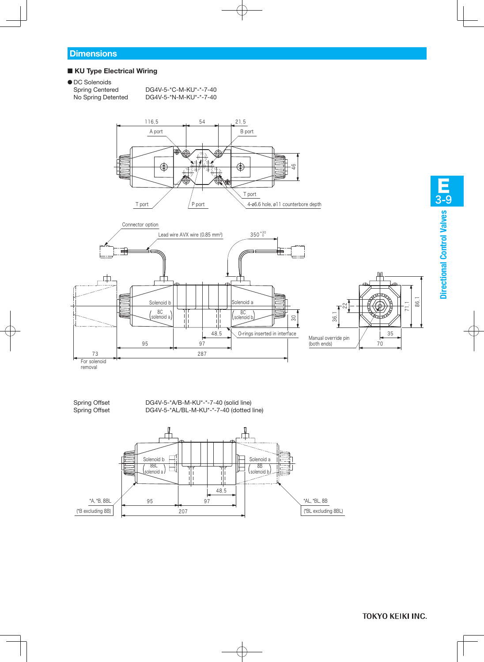#### ■ **KU Type Electrical Wiring**

● DC Solenoids

Spring Centered DG4V-5-\*C-M-KU\*-\*-7-40 No Spring Detented DG4V-5-\*N-M-KU\*-\*-7-40







Spring Offset DG4V-5-\*A/B-M-KU\*-\*-7-40 (solid line) Spring Offset DG4V-5-\*AL/BL-M-KU\*-\*-7-40 (dotted line)